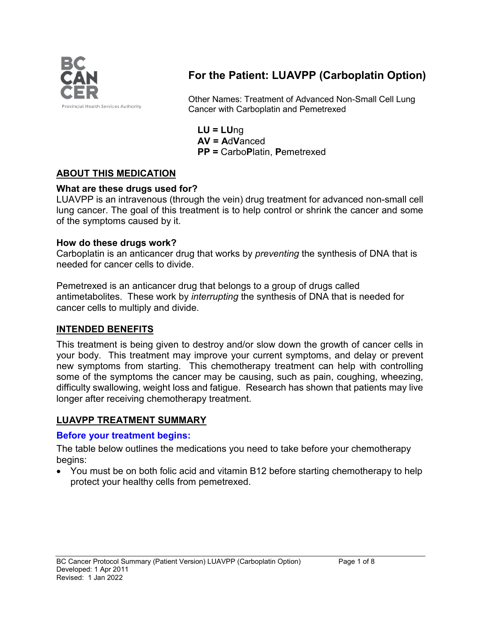

# **For the Patient: LUAVPP (Carboplatin Option)**

Other Names: Treatment of Advanced Non-Small Cell Lung Cancer with Carboplatin and Pemetrexed

**LU = LU**ng **AV = A**d**V**anced **PP =** Carbo**P**latin, **P**emetrexed

### **ABOUT THIS MEDICATION**

#### **What are these drugs used for?**

LUAVPP is an intravenous (through the vein) drug treatment for advanced non-small cell lung cancer. The goal of this treatment is to help control or shrink the cancer and some of the symptoms caused by it.

#### **How do these drugs work?**

Carboplatin is an anticancer drug that works by *preventing* the synthesis of DNA that is needed for cancer cells to divide.

Pemetrexed is an anticancer drug that belongs to a group of drugs called antimetabolites. These work by *interrupting* the synthesis of DNA that is needed for cancer cells to multiply and divide.

### **INTENDED BENEFITS**

This treatment is being given to destroy and/or slow down the growth of cancer cells in your body. This treatment may improve your current symptoms, and delay or prevent new symptoms from starting. This chemotherapy treatment can help with controlling some of the symptoms the cancer may be causing, such as pain, coughing, wheezing, difficulty swallowing, weight loss and fatigue. Research has shown that patients may live longer after receiving chemotherapy treatment.

### **LUAVPP TREATMENT SUMMARY**

#### **Before your treatment begins:**

The table below outlines the medications you need to take before your chemotherapy begins:

• You must be on both folic acid and vitamin B12 before starting chemotherapy to help protect your healthy cells from pemetrexed.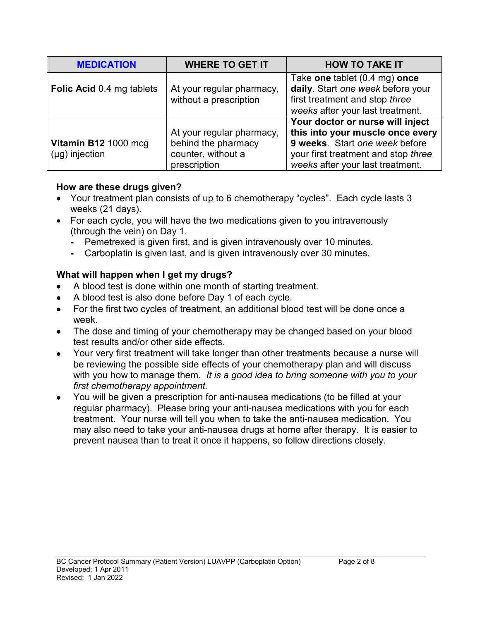| <b>MEDICATION</b>                           | <b>WHERE TO GET IT</b>                                                                 | <b>HOW TO TAKE IT</b>                                                                                                                                                             |
|---------------------------------------------|----------------------------------------------------------------------------------------|-----------------------------------------------------------------------------------------------------------------------------------------------------------------------------------|
| <b>Folic Acid 0.4 mg tablets</b>            | At your regular pharmacy,<br>without a prescription                                    | Take one tablet (0.4 mg) once<br>daily. Start one week before your<br>first treatment and stop three<br>weeks after your last treatment.                                          |
| Vitamin B12 1000 mcg<br>$(\mu g)$ injection | At your regular pharmacy,<br>behind the pharmacy<br>counter, without a<br>prescription | Your doctor or nurse will inject<br>this into your muscle once every<br>9 weeks. Start one week before<br>your first treatment and stop three<br>weeks after your last treatment. |

#### **How are these drugs given?**

- Your treatment plan consists of up to 6 chemotherapy "cycles". Each cycle lasts 3 weeks (21 days).
- For each cycle, you will have the two medications given to you intravenously (through the vein) on Day 1.
	- **-** Pemetrexed is given first, and is given intravenously over 10 minutes.
	- **-** Carboplatin is given last, and is given intravenously over 30 minutes.

### **What will happen when I get my drugs?**

- A blood test is done within one month of starting treatment.
- A blood test is also done before Day 1 of each cycle.
- For the first two cycles of treatment, an additional blood test will be done once a week.
- The dose and timing of your chemotherapy may be changed based on your blood test results and/or other side effects.
- Your very first treatment will take longer than other treatments because a nurse will be reviewing the possible side effects of your chemotherapy plan and will discuss with you how to manage them. *It is a good idea to bring someone with you to your first chemotherapy appointment.*
- You will be given a prescription for anti-nausea medications (to be filled at your regular pharmacy). Please bring your anti-nausea medications with you for each treatment. Your nurse will tell you when to take the anti-nausea medication. You may also need to take your anti-nausea drugs at home after therapy. It is easier to prevent nausea than to treat it once it happens, so follow directions closely.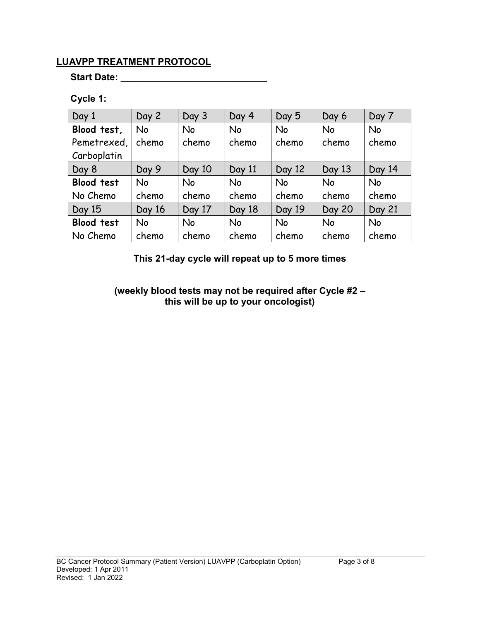### **LUAVPP TREATMENT PROTOCOL**

**Start Date: \_\_\_\_\_\_\_\_\_\_\_\_\_\_\_\_\_\_\_\_\_\_\_\_\_\_\_\_**

### **Cycle 1:**

| Day 1             | Day 2     | Day 3     | Day 4     | Day 5     | Day 6         | Day 7     |
|-------------------|-----------|-----------|-----------|-----------|---------------|-----------|
| Blood test,       | <b>No</b> | <b>No</b> | <b>No</b> | <b>No</b> | <b>No</b>     | <b>No</b> |
| Pemetrexed,       | chemo     | chemo     | chemo     | chemo     | chemo         | chemo     |
| Carboplatin       |           |           |           |           |               |           |
| Day 8             | Day 9     | Day 10    | Day 11    | Day 12    | Day 13        | Day 14    |
| <b>Blood test</b> | <b>No</b> | <b>No</b> | <b>No</b> | <b>No</b> | <b>No</b>     | <b>No</b> |
| No Chemo          | chemo     | chemo     | chemo     | chemo     | chemo         | chemo     |
| Day 15            | Day 16    | Day 17    | Day 18    | Day 19    | <b>Day 20</b> | Day 21    |
| <b>Blood test</b> | <b>No</b> | <b>No</b> | <b>No</b> | <b>No</b> | <b>No</b>     | <b>No</b> |
| No Chemo          | chemo     | chemo     | chemo     | chemo     | chemo         | chemo     |

**This 21-day cycle will repeat up to 5 more times**

**(weekly blood tests may not be required after Cycle #2 – this will be up to your oncologist)**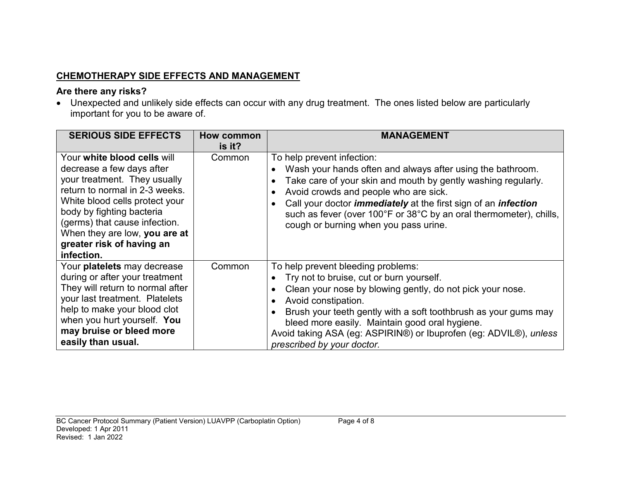# **CHEMOTHERAPY SIDE EFFECTS AND MANAGEMENT**

### **Are there any risks?**

• Unexpected and unlikely side effects can occur with any drug treatment. The ones listed below are particularly important for you to be aware of.

| <b>SERIOUS SIDE EFFECTS</b>                                                                                                                                                                                                                                                                            | How common<br>is it? | <b>MANAGEMENT</b>                                                                                                                                                                                                                                                                                                                                                                                 |
|--------------------------------------------------------------------------------------------------------------------------------------------------------------------------------------------------------------------------------------------------------------------------------------------------------|----------------------|---------------------------------------------------------------------------------------------------------------------------------------------------------------------------------------------------------------------------------------------------------------------------------------------------------------------------------------------------------------------------------------------------|
| Your white blood cells will<br>decrease a few days after<br>your treatment. They usually<br>return to normal in 2-3 weeks.<br>White blood cells protect your<br>body by fighting bacteria<br>(germs) that cause infection.<br>When they are low, you are at<br>greater risk of having an<br>infection. | Common               | To help prevent infection:<br>Wash your hands often and always after using the bathroom.<br>Take care of your skin and mouth by gently washing regularly.<br>Avoid crowds and people who are sick.<br>Call your doctor <i>immediately</i> at the first sign of an <i>infection</i><br>such as fever (over 100°F or 38°C by an oral thermometer), chills,<br>cough or burning when you pass urine. |
| Your platelets may decrease<br>during or after your treatment<br>They will return to normal after<br>your last treatment. Platelets<br>help to make your blood clot<br>when you hurt yourself. You<br>may bruise or bleed more<br>easily than usual.                                                   | Common               | To help prevent bleeding problems:<br>Try not to bruise, cut or burn yourself.<br>Clean your nose by blowing gently, do not pick your nose.<br>Avoid constipation.<br>Brush your teeth gently with a soft toothbrush as your gums may<br>bleed more easily. Maintain good oral hygiene.<br>Avoid taking ASA (eg: ASPIRIN®) or Ibuprofen (eg: ADVIL®), unless<br>prescribed by your doctor.        |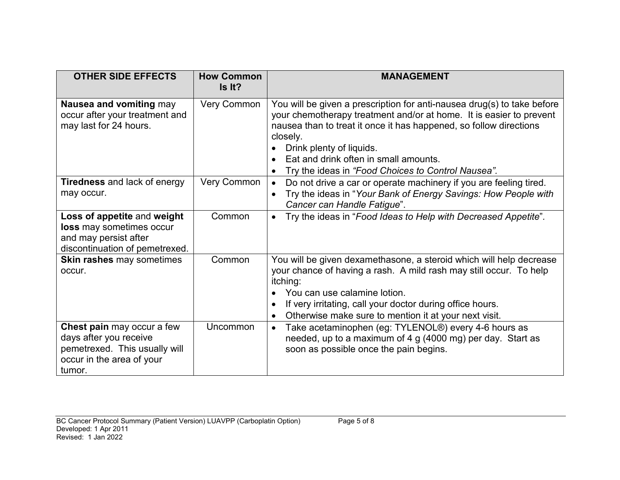| <b>OTHER SIDE EFFECTS</b>                                                                                                    | <b>How Common</b><br>Is It? | <b>MANAGEMENT</b>                                                                                                                                                                                                                                                                                                                                           |
|------------------------------------------------------------------------------------------------------------------------------|-----------------------------|-------------------------------------------------------------------------------------------------------------------------------------------------------------------------------------------------------------------------------------------------------------------------------------------------------------------------------------------------------------|
| Nausea and vomiting may<br>occur after your treatment and<br>may last for 24 hours.                                          | <b>Very Common</b>          | You will be given a prescription for anti-nausea drug(s) to take before<br>your chemotherapy treatment and/or at home. It is easier to prevent<br>nausea than to treat it once it has happened, so follow directions<br>closely.<br>Drink plenty of liquids.<br>Eat and drink often in small amounts.<br>Try the ideas in "Food Choices to Control Nausea". |
| <b>Tiredness</b> and lack of energy<br>may occur.                                                                            | Very Common                 | Do not drive a car or operate machinery if you are feeling tired.<br>$\bullet$<br>Try the ideas in "Your Bank of Energy Savings: How People with<br>$\bullet$<br>Cancer can Handle Fatigue".                                                                                                                                                                |
| Loss of appetite and weight<br>loss may sometimes occur<br>and may persist after<br>discontinuation of pemetrexed.           | Common                      | Try the ideas in "Food Ideas to Help with Decreased Appetite".                                                                                                                                                                                                                                                                                              |
| <b>Skin rashes may sometimes</b><br>occur.                                                                                   | Common                      | You will be given dexamethasone, a steroid which will help decrease<br>your chance of having a rash. A mild rash may still occur. To help<br>itching:<br>You can use calamine lotion.<br>If very irritating, call your doctor during office hours.<br>Otherwise make sure to mention it at your next visit.                                                 |
| Chest pain may occur a few<br>days after you receive<br>pemetrexed. This usually will<br>occur in the area of your<br>tumor. | Uncommon                    | Take acetaminophen (eg: TYLENOL®) every 4-6 hours as<br>$\bullet$<br>needed, up to a maximum of 4 g (4000 mg) per day. Start as<br>soon as possible once the pain begins.                                                                                                                                                                                   |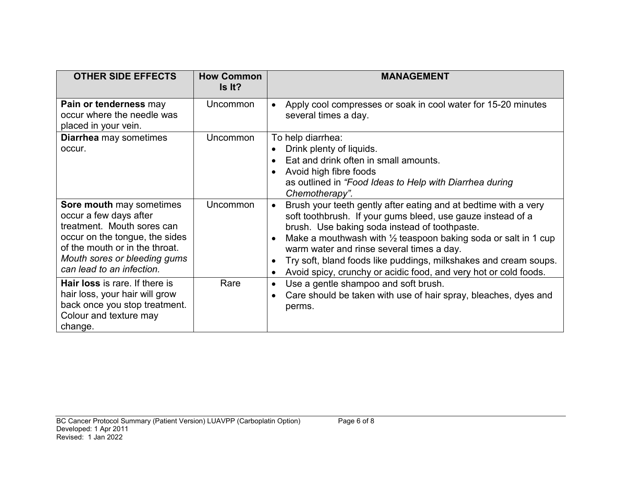| <b>OTHER SIDE EFFECTS</b>                                                                                                                                                                                         | <b>How Common</b><br>Is It? | <b>MANAGEMENT</b>                                                                                                                                                                                                                                                                                                                                                                                                                                              |
|-------------------------------------------------------------------------------------------------------------------------------------------------------------------------------------------------------------------|-----------------------------|----------------------------------------------------------------------------------------------------------------------------------------------------------------------------------------------------------------------------------------------------------------------------------------------------------------------------------------------------------------------------------------------------------------------------------------------------------------|
| Pain or tenderness may<br>occur where the needle was<br>placed in your vein.                                                                                                                                      | Uncommon                    | Apply cool compresses or soak in cool water for 15-20 minutes<br>several times a day.                                                                                                                                                                                                                                                                                                                                                                          |
| <b>Diarrhea</b> may sometimes<br>occur.                                                                                                                                                                           | Uncommon                    | To help diarrhea:<br>Drink plenty of liquids.<br>Eat and drink often in small amounts.<br>Avoid high fibre foods<br>as outlined in "Food Ideas to Help with Diarrhea during<br>Chemotherapy".                                                                                                                                                                                                                                                                  |
| Sore mouth may sometimes<br>occur a few days after<br>treatment. Mouth sores can<br>occur on the tongue, the sides<br>of the mouth or in the throat.<br>Mouth sores or bleeding gums<br>can lead to an infection. | Uncommon                    | Brush your teeth gently after eating and at bedtime with a very<br>$\bullet$<br>soft toothbrush. If your gums bleed, use gauze instead of a<br>brush. Use baking soda instead of toothpaste.<br>Make a mouthwash with $\frac{1}{2}$ teaspoon baking soda or salt in 1 cup<br>warm water and rinse several times a day.<br>Try soft, bland foods like puddings, milkshakes and cream soups.<br>Avoid spicy, crunchy or acidic food, and very hot or cold foods. |
| <b>Hair loss</b> is rare. If there is<br>hair loss, your hair will grow<br>back once you stop treatment.<br>Colour and texture may<br>change.                                                                     | Rare                        | Use a gentle shampoo and soft brush.<br>Care should be taken with use of hair spray, bleaches, dyes and<br>perms.                                                                                                                                                                                                                                                                                                                                              |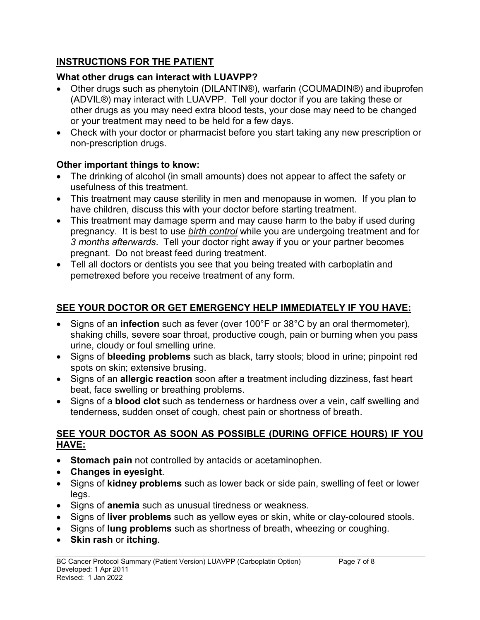# **INSTRUCTIONS FOR THE PATIENT**

# **What other drugs can interact with LUAVPP?**

- Other drugs such as phenytoin (DILANTIN®), warfarin (COUMADIN®) and ibuprofen (ADVIL®) may interact with LUAVPP. Tell your doctor if you are taking these or other drugs as you may need extra blood tests, your dose may need to be changed or your treatment may need to be held for a few days.
- Check with your doctor or pharmacist before you start taking any new prescription or non-prescription drugs.

# **Other important things to know:**

- The drinking of alcohol (in small amounts) does not appear to affect the safety or usefulness of this treatment.
- This treatment may cause sterility in men and menopause in women. If you plan to have children, discuss this with your doctor before starting treatment.
- This treatment may damage sperm and may cause harm to the baby if used during pregnancy. It is best to use *birth control* while you are undergoing treatment and for *3 months afterwards*. Tell your doctor right away if you or your partner becomes pregnant. Do not breast feed during treatment.
- Tell all doctors or dentists you see that you being treated with carboplatin and pemetrexed before you receive treatment of any form.

# **SEE YOUR DOCTOR OR GET EMERGENCY HELP IMMEDIATELY IF YOU HAVE:**

- Signs of an **infection** such as fever (over 100°F or 38°C by an oral thermometer), shaking chills, severe soar throat, productive cough, pain or burning when you pass urine, cloudy or foul smelling urine.
- Signs of **bleeding problems** such as black, tarry stools; blood in urine; pinpoint red spots on skin; extensive brusing.
- Signs of an **allergic reaction** soon after a treatment including dizziness, fast heart beat, face swelling or breathing problems.
- Signs of a **blood clot** such as tenderness or hardness over a vein, calf swelling and tenderness, sudden onset of cough, chest pain or shortness of breath.

### **SEE YOUR DOCTOR AS SOON AS POSSIBLE (DURING OFFICE HOURS) IF YOU HAVE:**

- **Stomach pain** not controlled by antacids or acetaminophen.
- **Changes in eyesight**.
- Signs of **kidney problems** such as lower back or side pain, swelling of feet or lower legs.
- Signs of **anemia** such as unusual tiredness or weakness.
- Signs of **liver problems** such as yellow eyes or skin, white or clay-coloured stools.
- Signs of **lung problems** such as shortness of breath, wheezing or coughing.
- **Skin rash** or **itching**.